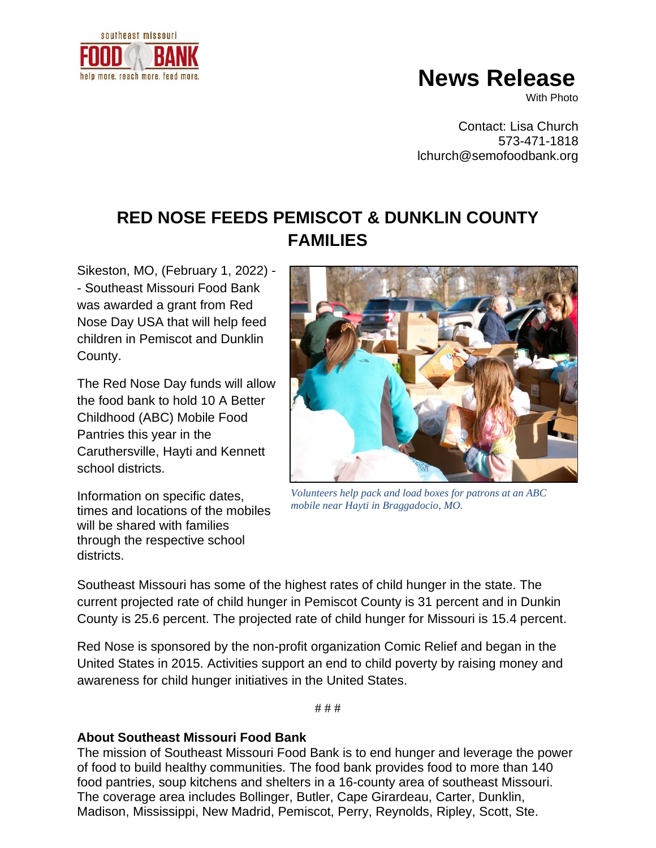

## **News Release**

With Photo

Contact: Lisa Church 573-471-1818 lchurch@semofoodbank.org

## **RED NOSE FEEDS PEMISCOT & DUNKLIN COUNTY FAMILIES**

Sikeston, MO, (February 1, 2022) - - Southeast Missouri Food Bank was awarded a grant from Red Nose Day USA that will help feed children in Pemiscot and Dunklin County.

The Red Nose Day funds will allow the food bank to hold 10 A Better Childhood (ABC) Mobile Food Pantries this year in the Caruthersville, Hayti and Kennett school districts.

Information on specific dates, times and locations of the mobiles will be shared with families through the respective school districts.



*Volunteers help pack and load boxes for patrons at an ABC mobile near Hayti in Braggadocio, MO.* 

Southeast Missouri has some of the highest rates of child hunger in the state. The current projected rate of child hunger in Pemiscot County is 31 percent and in Dunkin County is 25.6 percent. The projected rate of child hunger for Missouri is 15.4 percent.

Red Nose is sponsored by the non-profit organization Comic Relief and began in the United States in 2015. Activities support an end to child poverty by raising money and awareness for child hunger initiatives in the United States.

# # #

## **About Southeast Missouri Food Bank**

The mission of Southeast Missouri Food Bank is to end hunger and leverage the power of food to build healthy communities. The food bank provides food to more than 140 food pantries, soup kitchens and shelters in a 16-county area of southeast Missouri. The coverage area includes Bollinger, Butler, Cape Girardeau, Carter, Dunklin, Madison, Mississippi, New Madrid, Pemiscot, Perry, Reynolds, Ripley, Scott, Ste.